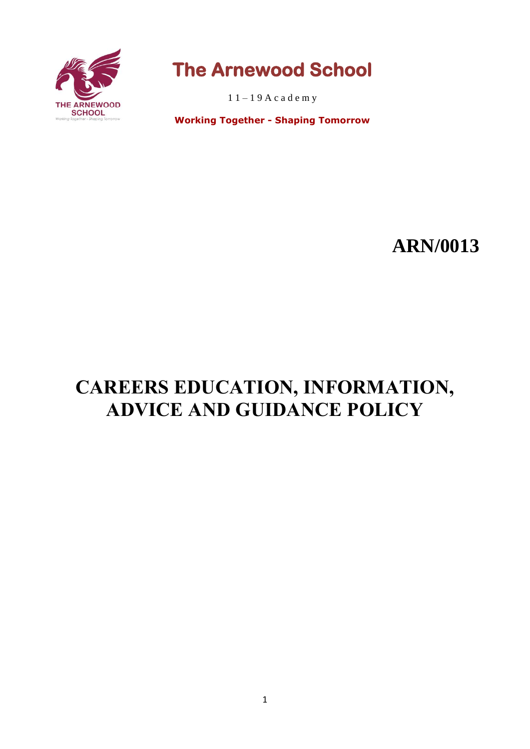

# **The Arnewood School**

 $11 - 19$  A c a d e m y

**Working Together - Shaping Tomorrow**

# **ARN/0013**

# **CAREERS EDUCATION, INFORMATION, ADVICE AND GUIDANCE POLICY**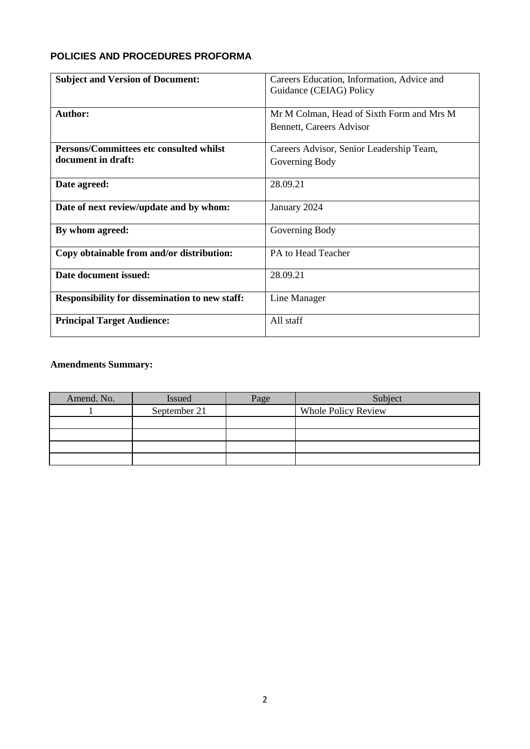# **POLICIES AND PROCEDURES PROFORMA**

| <b>Subject and Version of Document:</b>               | Careers Education, Information, Advice and |  |
|-------------------------------------------------------|--------------------------------------------|--|
|                                                       | Guidance (CEIAG) Policy                    |  |
|                                                       |                                            |  |
| Author:                                               | Mr M Colman, Head of Sixth Form and Mrs M  |  |
|                                                       | <b>Bennett, Careers Advisor</b>            |  |
|                                                       |                                            |  |
| <b>Persons/Committees etc consulted whilst</b>        | Careers Advisor, Senior Leadership Team,   |  |
| document in draft:                                    | Governing Body                             |  |
|                                                       |                                            |  |
| Date agreed:                                          | 28.09.21                                   |  |
|                                                       |                                            |  |
| Date of next review/update and by whom:               | January 2024                               |  |
|                                                       |                                            |  |
| By whom agreed:                                       | Governing Body                             |  |
|                                                       |                                            |  |
| Copy obtainable from and/or distribution:             | PA to Head Teacher                         |  |
| Date document issued:                                 | 28.09.21                                   |  |
|                                                       |                                            |  |
| <b>Responsibility for dissemination to new staff:</b> | Line Manager                               |  |
|                                                       |                                            |  |
| <b>Principal Target Audience:</b>                     | All staff                                  |  |
|                                                       |                                            |  |

# **Amendments Summary:**

| Amend. No. | Issued       | Page | Subject                    |
|------------|--------------|------|----------------------------|
|            | September 21 |      | <b>Whole Policy Review</b> |
|            |              |      |                            |
|            |              |      |                            |
|            |              |      |                            |
|            |              |      |                            |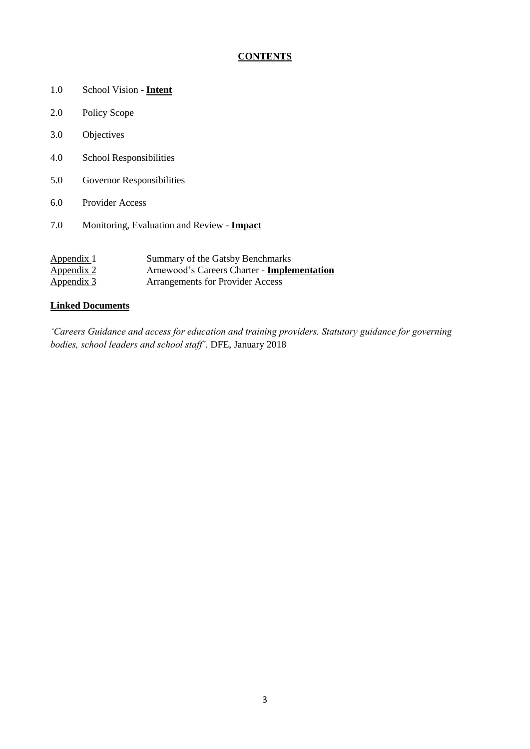# **CONTENTS**

- 1.0 School Vision **Intent**
- 2.0 Policy Scope
- 3.0 Objectives
- 4.0 School Responsibilities
- 5.0 Governor Responsibilities
- 6.0 Provider Access
- 7.0 Monitoring, Evaluation and Review **Impact**

| Appendix 1        | Summary of the Gatsby Benchmarks            |
|-------------------|---------------------------------------------|
| <u>Appendix 2</u> | Arnewood's Careers Charter - Implementation |
| <u>Appendix 3</u> | <b>Arrangements for Provider Access</b>     |

### **Linked Documents**

*'Careers Guidance and access for education and training providers. Statutory guidance for governing bodies, school leaders and school staff'*. DFE, January 2018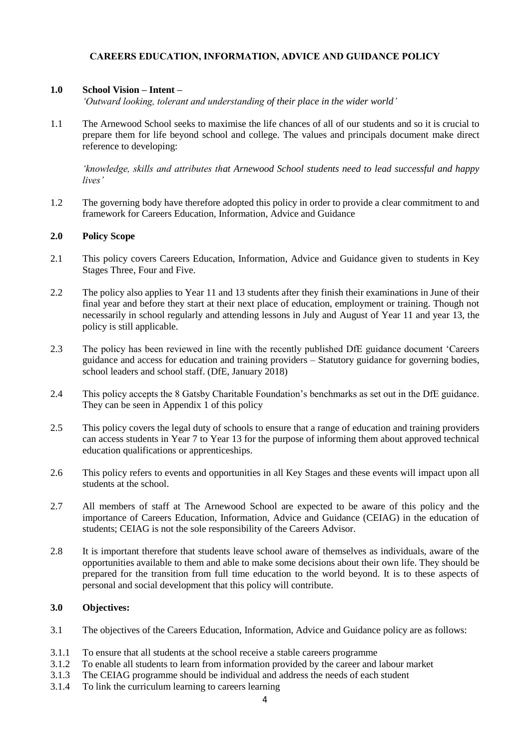# **CAREERS EDUCATION, INFORMATION, ADVICE AND GUIDANCE POLICY**

## **1.0 School Vision – Intent –**

*'Outward looking, tolerant and understanding of their place in the wider world'*

1.1 The Arnewood School seeks to maximise the life chances of all of our students and so it is crucial to prepare them for life beyond school and college. The values and principals document make direct reference to developing:

*'knowledge, skills and attributes that Arnewood School students need to lead successful and happy lives'*

1.2 The governing body have therefore adopted this policy in order to provide a clear commitment to and framework for Careers Education, Information, Advice and Guidance

### **2.0 Policy Scope**

- 2.1 This policy covers Careers Education, Information, Advice and Guidance given to students in Key Stages Three, Four and Five.
- 2.2 The policy also applies to Year 11 and 13 students after they finish their examinations in June of their final year and before they start at their next place of education, employment or training. Though not necessarily in school regularly and attending lessons in July and August of Year 11 and year 13, the policy is still applicable.
- 2.3 The policy has been reviewed in line with the recently published DfE guidance document 'Careers guidance and access for education and training providers – Statutory guidance for governing bodies, school leaders and school staff. (DfE, January 2018)
- 2.4 This policy accepts the 8 Gatsby Charitable Foundation's benchmarks as set out in the DfE guidance. They can be seen in Appendix 1 of this policy
- 2.5 This policy covers the legal duty of schools to ensure that a range of education and training providers can access students in Year 7 to Year 13 for the purpose of informing them about approved technical education qualifications or apprenticeships.
- 2.6 This policy refers to events and opportunities in all Key Stages and these events will impact upon all students at the school.
- 2.7 All members of staff at The Arnewood School are expected to be aware of this policy and the importance of Careers Education, Information, Advice and Guidance (CEIAG) in the education of students; CEIAG is not the sole responsibility of the Careers Advisor.
- 2.8 It is important therefore that students leave school aware of themselves as individuals, aware of the opportunities available to them and able to make some decisions about their own life. They should be prepared for the transition from full time education to the world beyond. It is to these aspects of personal and social development that this policy will contribute.

#### **3.0 Objectives:**

- 3.1 The objectives of the Careers Education, Information, Advice and Guidance policy are as follows:
- 3.1.1 To ensure that all students at the school receive a stable careers programme
- 3.1.2 To enable all students to learn from information provided by the career and labour market
- 3.1.3 The CEIAG programme should be individual and address the needs of each student
- 3.1.4 To link the curriculum learning to careers learning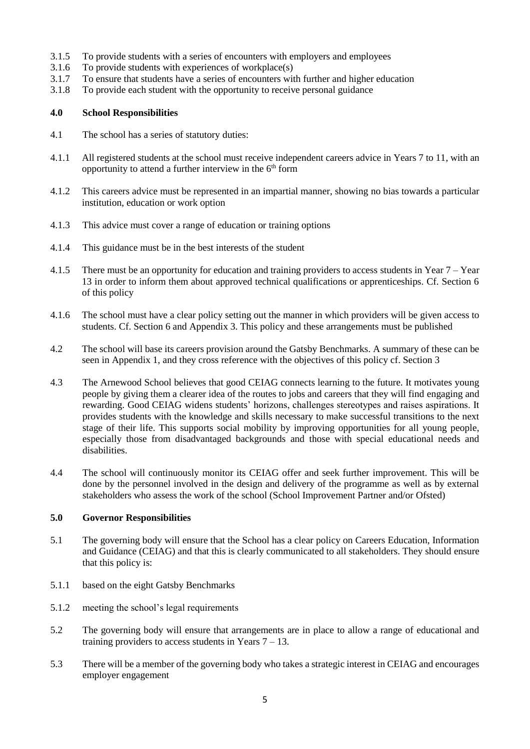- 3.1.5 To provide students with a series of encounters with employers and employees
- 3.1.6 To provide students with experiences of workplace(s)
- 3.1.7 To ensure that students have a series of encounters with further and higher education
- 3.1.8 To provide each student with the opportunity to receive personal guidance

### **4.0 School Responsibilities**

- 4.1 The school has a series of statutory duties:
- 4.1.1 All registered students at the school must receive independent careers advice in Years 7 to 11, with an opportunity to attend a further interview in the  $6<sup>th</sup>$  form
- 4.1.2 This careers advice must be represented in an impartial manner, showing no bias towards a particular institution, education or work option
- 4.1.3 This advice must cover a range of education or training options
- 4.1.4 This guidance must be in the best interests of the student
- 4.1.5 There must be an opportunity for education and training providers to access students in Year 7 Year 13 in order to inform them about approved technical qualifications or apprenticeships. Cf. Section 6 of this policy
- 4.1.6 The school must have a clear policy setting out the manner in which providers will be given access to students. Cf. Section 6 and Appendix 3. This policy and these arrangements must be published
- 4.2 The school will base its careers provision around the Gatsby Benchmarks. A summary of these can be seen in Appendix 1, and they cross reference with the objectives of this policy cf. Section 3
- 4.3 The Arnewood School believes that good CEIAG connects learning to the future. It motivates young people by giving them a clearer idea of the routes to jobs and careers that they will find engaging and rewarding. Good CEIAG widens students' horizons, challenges stereotypes and raises aspirations. It provides students with the knowledge and skills necessary to make successful transitions to the next stage of their life. This supports social mobility by improving opportunities for all young people, especially those from disadvantaged backgrounds and those with special educational needs and disabilities.
- 4.4 The school will continuously monitor its CEIAG offer and seek further improvement. This will be done by the personnel involved in the design and delivery of the programme as well as by external stakeholders who assess the work of the school (School Improvement Partner and/or Ofsted)

#### **5.0 Governor Responsibilities**

- 5.1 The governing body will ensure that the School has a clear policy on Careers Education, Information and Guidance (CEIAG) and that this is clearly communicated to all stakeholders. They should ensure that this policy is:
- 5.1.1 based on the eight Gatsby Benchmarks
- 5.1.2 meeting the school's legal requirements
- 5.2 The governing body will ensure that arrangements are in place to allow a range of educational and training providers to access students in Years  $7 - 13$ .
- 5.3 There will be a member of the governing body who takes a strategic interest in CEIAG and encourages employer engagement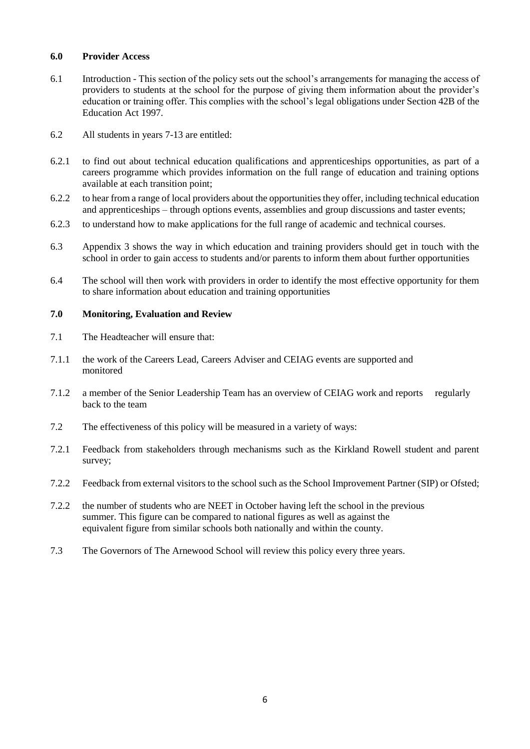#### **6.0 Provider Access**

- 6.1 Introduction This section of the policy sets out the school's arrangements for managing the access of providers to students at the school for the purpose of giving them information about the provider's education or training offer. This complies with the school's legal obligations under Section 42B of the Education Act 1997.
- 6.2 All students in years 7-13 are entitled:
- 6.2.1 to find out about technical education qualifications and apprenticeships opportunities, as part of a careers programme which provides information on the full range of education and training options available at each transition point;
- 6.2.2 to hear from a range of local providers about the opportunities they offer, including technical education and apprenticeships – through options events, assemblies and group discussions and taster events;
- 6.2.3 to understand how to make applications for the full range of academic and technical courses.
- 6.3 Appendix 3 shows the way in which education and training providers should get in touch with the school in order to gain access to students and/or parents to inform them about further opportunities
- 6.4 The school will then work with providers in order to identify the most effective opportunity for them to share information about education and training opportunities

#### **7.0 Monitoring, Evaluation and Review**

- 7.1 The Headteacher will ensure that:
- 7.1.1 the work of the Careers Lead, Careers Adviser and CEIAG events are supported and monitored
- 7.1.2 a member of the Senior Leadership Team has an overview of CEIAG work and reports regularly back to the team
- 7.2 The effectiveness of this policy will be measured in a variety of ways:
- 7.2.1 Feedback from stakeholders through mechanisms such as the Kirkland Rowell student and parent survey;
- 7.2.2 Feedback from external visitors to the school such as the School Improvement Partner (SIP) or Ofsted;
- 7.2.2 the number of students who are NEET in October having left the school in the previous summer. This figure can be compared to national figures as well as against the equivalent figure from similar schools both nationally and within the county.
- 7.3 The Governors of The Arnewood School will review this policy every three years.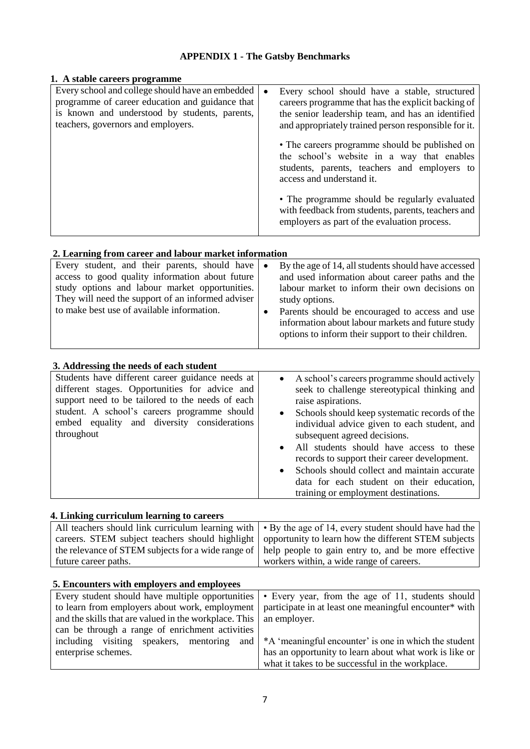# **APPENDIX 1 - The Gatsby Benchmarks**

| 1. A stable careers programme                                                                                                                                                              |                                                                                                                                                                                                                               |
|--------------------------------------------------------------------------------------------------------------------------------------------------------------------------------------------|-------------------------------------------------------------------------------------------------------------------------------------------------------------------------------------------------------------------------------|
| Every school and college should have an embedded<br>programme of career education and guidance that<br>is known and understood by students, parents,<br>teachers, governors and employers. | Every school should have a stable, structured<br>$\bullet$<br>careers programme that has the explicit backing of<br>the senior leadership team, and has an identified<br>and appropriately trained person responsible for it. |
|                                                                                                                                                                                            | • The careers programme should be published on<br>the school's website in a way that enables<br>students, parents, teachers and employers to<br>access and understand it.                                                     |
|                                                                                                                                                                                            | • The programme should be regularly evaluated<br>with feedback from students, parents, teachers and<br>employers as part of the evaluation process.                                                                           |

# **2. Learning from career and labour market information**

| Every student, and their parents, should have<br>access to good quality information about future<br>study options and labour market opportunities.<br>They will need the support of an informed adviser<br>to make best use of available information. | By the age of 14, all students should have accessed<br>$\bullet$<br>and used information about career paths and the<br>labour market to inform their own decisions on<br>study options.<br>Parents should be encouraged to access and use<br>$\bullet$<br>information about labour markets and future study<br>options to inform their support to their children. |
|-------------------------------------------------------------------------------------------------------------------------------------------------------------------------------------------------------------------------------------------------------|-------------------------------------------------------------------------------------------------------------------------------------------------------------------------------------------------------------------------------------------------------------------------------------------------------------------------------------------------------------------|
|-------------------------------------------------------------------------------------------------------------------------------------------------------------------------------------------------------------------------------------------------------|-------------------------------------------------------------------------------------------------------------------------------------------------------------------------------------------------------------------------------------------------------------------------------------------------------------------------------------------------------------------|

# **3. Addressing the needs of each student**

| et requested the necess of each sequent                                                                                                                                                                                                                             |                                                                                                                                                                                                                                                                                                                                                                                                                                                                                                                             |
|---------------------------------------------------------------------------------------------------------------------------------------------------------------------------------------------------------------------------------------------------------------------|-----------------------------------------------------------------------------------------------------------------------------------------------------------------------------------------------------------------------------------------------------------------------------------------------------------------------------------------------------------------------------------------------------------------------------------------------------------------------------------------------------------------------------|
| Students have different career guidance needs at<br>different stages. Opportunities for advice and<br>support need to be tailored to the needs of each<br>student. A school's careers programme should<br>embed equality and diversity considerations<br>throughout | A school's careers programme should actively<br>$\bullet$<br>seek to challenge stereotypical thinking and<br>raise aspirations.<br>Schools should keep systematic records of the<br>$\bullet$<br>individual advice given to each student, and<br>subsequent agreed decisions.<br>All students should have access to these<br>records to support their career development.<br>Schools should collect and maintain accurate<br>$\bullet$<br>data for each student on their education,<br>training or employment destinations. |

### **4. Linking curriculum learning to careers**

| ". Emiliary carriedation rearning to careers |                                                                                                               |
|----------------------------------------------|---------------------------------------------------------------------------------------------------------------|
|                                              | All teachers should link curriculum learning with $\cdot$ By the age of 14, every student should have had the |
|                                              | careers. STEM subject teachers should highlight   opportunity to learn how the different STEM subjects        |
|                                              | the relevance of STEM subjects for a wide range of help people to gain entry to, and be more effective        |
| future career paths.                         | workers within, a wide range of careers.                                                                      |

#### **5. Encounters with employers and employees**

|                                                                      | Every student should have multiple opportunities $\cdot$ Every year, from the age of 11, students should |
|----------------------------------------------------------------------|----------------------------------------------------------------------------------------------------------|
|                                                                      | to learn from employers about work, employment participate in at least one meaningful encounter* with    |
| and the skills that are valued in the workplace. This   an employer. |                                                                                                          |
| can be through a range of enrichment activities                      |                                                                                                          |
|                                                                      | including visiting speakers, mentoring and $*A$ meaningful encounter' is one in which the student        |
| enterprise schemes.                                                  | has an opportunity to learn about what work is like or                                                   |
|                                                                      | what it takes to be successful in the workplace.                                                         |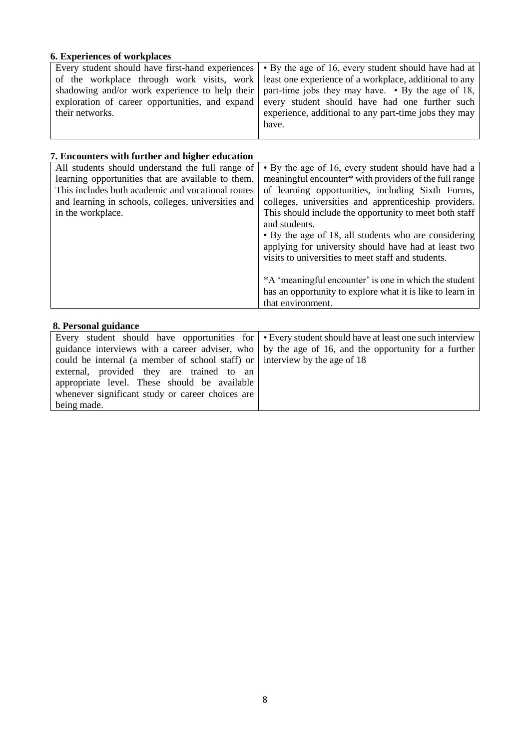# **6. Experiences of workplaces**

| their networks. | Every student should have first-hand experiences $\cdot$ By the age of 16, every student should have had at<br>of the workplace through work visits, work least one experience of a workplace, additional to any<br>shadowing and/or work experience to help their   part-time jobs they may have. $\cdot$ By the age of 18,<br>exploration of career opportunities, and expand every student should have had one further such<br>experience, additional to any part-time jobs they may<br>have. |
|-----------------|--------------------------------------------------------------------------------------------------------------------------------------------------------------------------------------------------------------------------------------------------------------------------------------------------------------------------------------------------------------------------------------------------------------------------------------------------------------------------------------------------|
|-----------------|--------------------------------------------------------------------------------------------------------------------------------------------------------------------------------------------------------------------------------------------------------------------------------------------------------------------------------------------------------------------------------------------------------------------------------------------------------------------------------------------------|

# **7. Encounters with further and higher education**

| , Liitvanittis with further and ingher caucation<br>All students should understand the full range of<br>learning opportunities that are available to them.<br>This includes both academic and vocational routes<br>and learning in schools, colleges, universities and<br>in the workplace. | • By the age of 16, every student should have had a<br>meaningful encounter* with providers of the full range<br>of learning opportunities, including Sixth Forms,<br>colleges, universities and apprenticeship providers.<br>This should include the opportunity to meet both staff<br>and students.<br>• By the age of 18, all students who are considering<br>applying for university should have had at least two<br>visits to universities to meet staff and students.<br>*A 'meaningful encounter' is one in which the student |
|---------------------------------------------------------------------------------------------------------------------------------------------------------------------------------------------------------------------------------------------------------------------------------------------|--------------------------------------------------------------------------------------------------------------------------------------------------------------------------------------------------------------------------------------------------------------------------------------------------------------------------------------------------------------------------------------------------------------------------------------------------------------------------------------------------------------------------------------|
|                                                                                                                                                                                                                                                                                             | has an opportunity to explore what it is like to learn in<br>that environment.                                                                                                                                                                                                                                                                                                                                                                                                                                                       |
| 8. Personal guidance                                                                                                                                                                                                                                                                        |                                                                                                                                                                                                                                                                                                                                                                                                                                                                                                                                      |

|                                                                                    | Every student should have opportunities for $\cdot$ Every student should have at least one such interview |
|------------------------------------------------------------------------------------|-----------------------------------------------------------------------------------------------------------|
|                                                                                    | guidance interviews with a career adviser, who   by the age of 16, and the opportunity for a further      |
| could be internal (a member of school staff) or $\vert$ interview by the age of 18 |                                                                                                           |
| external, provided they are trained to an                                          |                                                                                                           |
| appropriate level. These should be available                                       |                                                                                                           |
| whenever significant study or career choices are                                   |                                                                                                           |
| being made.                                                                        |                                                                                                           |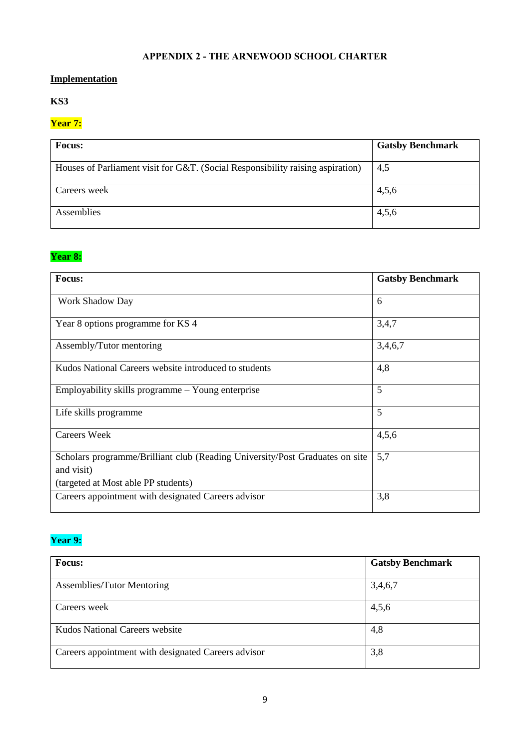# **APPENDIX 2 - THE ARNEWOOD SCHOOL CHARTER**

# **Implementation**

# **KS3**

# **Year 7:**

| <b>Focus:</b>                                                                  | <b>Gatsby Benchmark</b> |
|--------------------------------------------------------------------------------|-------------------------|
| Houses of Parliament visit for G&T. (Social Responsibility raising aspiration) | 4,5                     |
| Careers week                                                                   | 4,5,6                   |
| Assemblies                                                                     | 4,5,6                   |

# **Year 8:**

| <b>Focus:</b>                                                                              | <b>Gatsby Benchmark</b> |
|--------------------------------------------------------------------------------------------|-------------------------|
| <b>Work Shadow Day</b>                                                                     | 6                       |
| Year 8 options programme for KS 4                                                          | 3,4,7                   |
| Assembly/Tutor mentoring                                                                   | 3,4,6,7                 |
| Kudos National Careers website introduced to students                                      | 4,8                     |
| Employability skills programme – Young enterprise                                          | 5                       |
| Life skills programme                                                                      | 5                       |
| Careers Week                                                                               | 4,5,6                   |
| Scholars programme/Brilliant club (Reading University/Post Graduates on site<br>and visit) | 5,7                     |
| (targeted at Most able PP students)<br>Careers appointment with designated Careers advisor | 3,8                     |
|                                                                                            |                         |

# **Year 9:**

| <b>Focus:</b>                                       | <b>Gatsby Benchmark</b> |
|-----------------------------------------------------|-------------------------|
| <b>Assemblies/Tutor Mentoring</b>                   | 3,4,6,7                 |
| Careers week                                        | 4,5,6                   |
| Kudos National Careers website                      | 4,8                     |
| Careers appointment with designated Careers advisor | 3,8                     |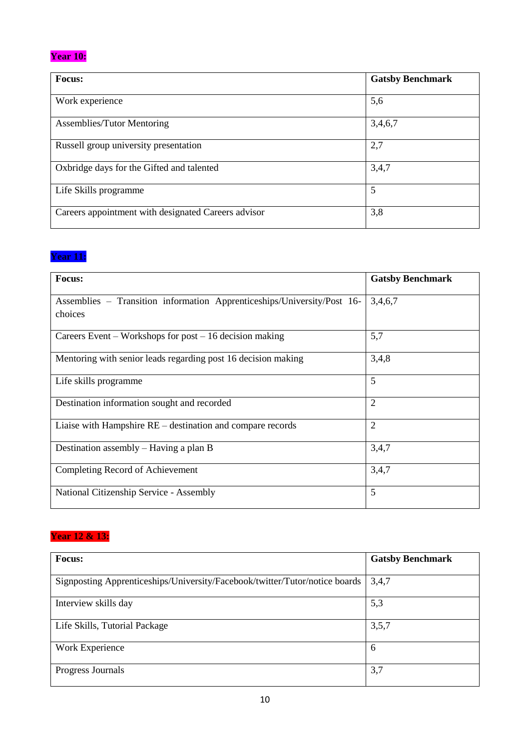# **Year 10:**

| <b>Focus:</b>                                       | <b>Gatsby Benchmark</b> |
|-----------------------------------------------------|-------------------------|
|                                                     |                         |
| Work experience                                     | 5,6                     |
| <b>Assemblies/Tutor Mentoring</b>                   | 3,4,6,7                 |
| Russell group university presentation               | 2,7                     |
| Oxbridge days for the Gifted and talented           | 3,4,7                   |
| Life Skills programme                               | 5                       |
| Careers appointment with designated Careers advisor | 3,8                     |

# **Year 11:**

| Focus:                                                                             | <b>Gatsby Benchmark</b> |
|------------------------------------------------------------------------------------|-------------------------|
| Assemblies - Transition information Apprenticeships/University/Post 16-<br>choices | 3,4,6,7                 |
| Careers Event – Workshops for post – 16 decision making                            | 5,7                     |
| Mentoring with senior leads regarding post 16 decision making                      | 3,4,8                   |
| Life skills programme                                                              | 5                       |
| Destination information sought and recorded                                        | $\overline{2}$          |
| Liaise with Hampshire $RE$ – destination and compare records                       | $\overline{2}$          |
| Destination assembly $-$ Having a plan B                                           | 3,4,7                   |
| Completing Record of Achievement                                                   | 3,4,7                   |
| National Citizenship Service - Assembly                                            | 5                       |

# **Year 12 & 13:**

| Focus:                                                                      | <b>Gatsby Benchmark</b> |
|-----------------------------------------------------------------------------|-------------------------|
| Signposting Apprenticeships/University/Facebook/twitter/Tutor/notice boards | 3,4,7                   |
| Interview skills day                                                        | 5,3                     |
| Life Skills, Tutorial Package                                               | 3,5,7                   |
| Work Experience                                                             | 6                       |
| Progress Journals                                                           | 3,7                     |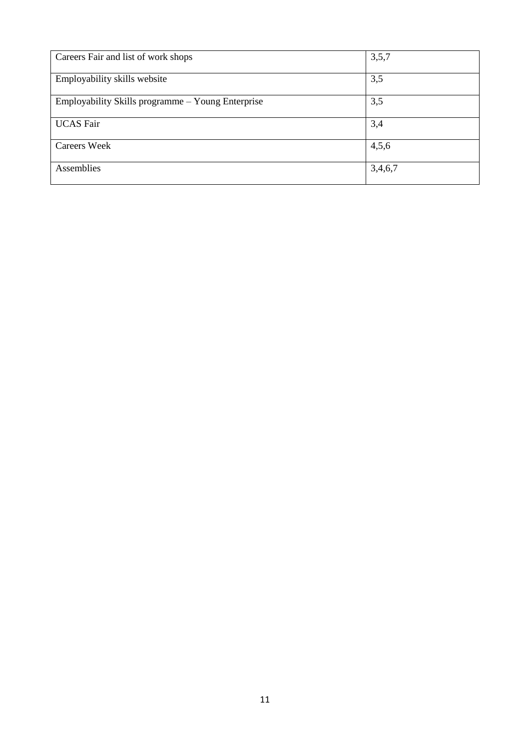| Careers Fair and list of work shops               | 3,5,7   |
|---------------------------------------------------|---------|
| Employability skills website                      | 3,5     |
| Employability Skills programme – Young Enterprise | 3,5     |
| <b>UCAS</b> Fair                                  | 3,4     |
|                                                   |         |
| <b>Careers Week</b>                               | 4,5,6   |
| Assemblies                                        | 3,4,6,7 |